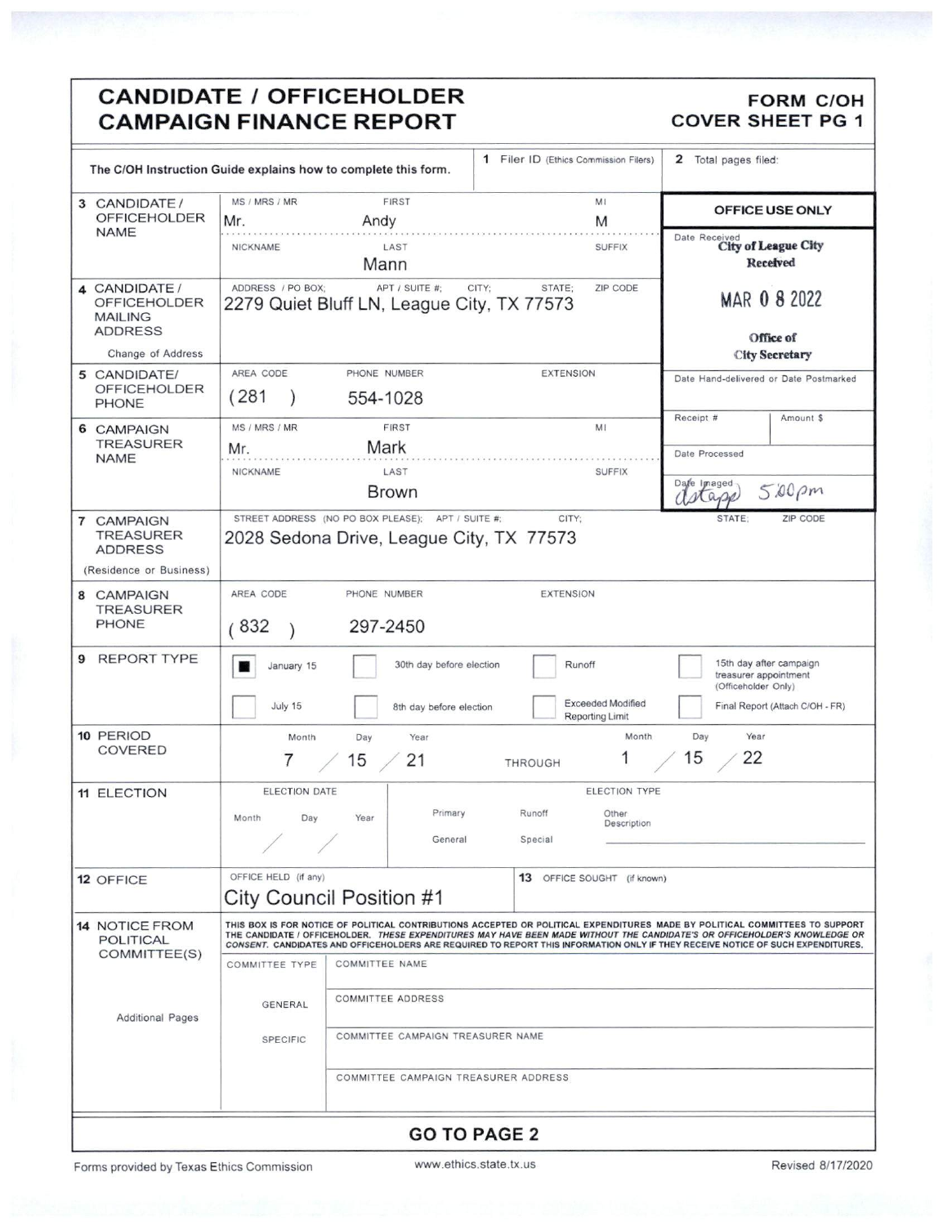## **CANDIDATE / OFFICEHOLDER** REPORT COVER SHEET PG 1

| The C/OH Instruction Guide explains how to complete this form.              |                                                                                                                                                                                                                                                                                                                                                                                               |                                                                                               | 1 Filer ID (Ethics Commission Filers) | 2 Total pages filed:                                                    |  |  |
|-----------------------------------------------------------------------------|-----------------------------------------------------------------------------------------------------------------------------------------------------------------------------------------------------------------------------------------------------------------------------------------------------------------------------------------------------------------------------------------------|-----------------------------------------------------------------------------------------------|---------------------------------------|-------------------------------------------------------------------------|--|--|
| 3 CANDIDATE /<br><b>OFFICEHOLDER</b>                                        | MS / MRS / MR<br>Mr.                                                                                                                                                                                                                                                                                                                                                                          | <b>FIRST</b><br>Andy                                                                          | MI<br>M                               | OFFICE USE ONLY                                                         |  |  |
| <b>NAME</b>                                                                 | <b>NICKNAME</b>                                                                                                                                                                                                                                                                                                                                                                               | LAST<br>Mann                                                                                  | <b>SUFFIX</b>                         | Date Received<br>City of League City<br>Received                        |  |  |
| 4 CANDIDATE /<br><b>OFFICEHOLDER</b><br><b>MAILING</b><br><b>ADDRESS</b>    | ADDRESS / PO BOX:                                                                                                                                                                                                                                                                                                                                                                             | APT / SUITE #:<br>2279 Quiet Bluff LN, League City, TX 77573                                  | CITY:<br>ZIP CODE<br>STATE:           | MAR 0 8 2022<br>Office of                                               |  |  |
| Change of Address                                                           |                                                                                                                                                                                                                                                                                                                                                                                               |                                                                                               |                                       | <b>City Secretary</b>                                                   |  |  |
| 5 CANDIDATE/<br>OFFICEHOLDER<br>PHONE                                       | AREA CODE<br>(281)                                                                                                                                                                                                                                                                                                                                                                            | PHONE NUMBER<br>554-1028                                                                      | <b>EXTENSION</b>                      | Date Hand-delivered or Date Postmarked                                  |  |  |
| 6 CAMPAIGN<br><b>TREASURER</b><br><b>NAME</b>                               | MS / MRS / MR<br>Mr.                                                                                                                                                                                                                                                                                                                                                                          | <b>FIRST</b><br>Mark                                                                          | MI                                    | Receipt #<br>Amount \$                                                  |  |  |
|                                                                             | <b>NICKNAME</b>                                                                                                                                                                                                                                                                                                                                                                               | LAST                                                                                          | <b>SUFFIX</b>                         | Date Processed                                                          |  |  |
|                                                                             |                                                                                                                                                                                                                                                                                                                                                                                               | <b>Brown</b>                                                                                  |                                       | Dafe Imaged<br>$500 \rho m$<br>Mass                                     |  |  |
| 7 CAMPAIGN<br><b>TREASURER</b><br><b>ADDRESS</b><br>(Residence or Business) |                                                                                                                                                                                                                                                                                                                                                                                               | STREET ADDRESS (NO PO BOX PLEASE); APT / SUITE #;<br>2028 Sedona Drive, League City, TX 77573 | CITY:                                 | ZIP CODE<br>STATE:                                                      |  |  |
|                                                                             |                                                                                                                                                                                                                                                                                                                                                                                               |                                                                                               |                                       |                                                                         |  |  |
| 8 CAMPAIGN<br><b>TREASURER</b><br>PHONE                                     | AREA CODE<br>(832)                                                                                                                                                                                                                                                                                                                                                                            | PHONE NUMBER<br>297-2450                                                                      | <b>EXTENSION</b>                      |                                                                         |  |  |
| REPORT TYPE<br>9                                                            | January 15                                                                                                                                                                                                                                                                                                                                                                                    | 30th day before election                                                                      | Runoff<br><b>Exceeded Modified</b>    | 15th day after campaign<br>treasurer appointment<br>(Officeholder Only) |  |  |
|                                                                             | July 15                                                                                                                                                                                                                                                                                                                                                                                       | 8th day before election                                                                       | <b>Reporting Limit</b>                | Final Report (Attach C/OH - FR)                                         |  |  |
| 10 PERIOD<br><b>COVERED</b>                                                 | Month<br>T                                                                                                                                                                                                                                                                                                                                                                                    | Day<br>Year<br>15<br>21                                                                       | Month<br>THROUGH                      | Year<br>Day<br>15<br>22                                                 |  |  |
| 11 ELECTION                                                                 | <b>ELECTION DATE</b>                                                                                                                                                                                                                                                                                                                                                                          |                                                                                               | ELECTION TYPE                         |                                                                         |  |  |
|                                                                             | Month<br>Day                                                                                                                                                                                                                                                                                                                                                                                  | Primary<br>Year                                                                               | Runoff<br>Other<br>Description        |                                                                         |  |  |
|                                                                             | v.                                                                                                                                                                                                                                                                                                                                                                                            | General                                                                                       | Special                               |                                                                         |  |  |
| 12 OFFICE                                                                   | OFFICE HELD (if any)                                                                                                                                                                                                                                                                                                                                                                          | City Council Position #1                                                                      | 13 OFFICE SOUGHT (if known)           |                                                                         |  |  |
| <b>14 NOTICE FROM</b><br><b>POLITICAL</b>                                   | THIS BOX IS FOR NOTICE OF POLITICAL CONTRIBUTIONS ACCEPTED OR POLITICAL EXPENDITURES MADE BY POLITICAL COMMITTEES TO SUPPORT<br>THE CANDIDATE / OFFICEHOLDER. THESE EXPENDITURES MAY HAVE BEEN MADE WITHOUT THE CANDIDATE'S OR OFFICEHOLDER'S KNOWLEDGE OR<br>CONSENT. CANDIDATES AND OFFICEHOLDERS ARE REQUIRED TO REPORT THIS INFORMATION ONLY IF THEY RECEIVE NOTICE OF SUCH EXPENDITURES. |                                                                                               |                                       |                                                                         |  |  |
| COMMITTEE(S)                                                                | <b>COMMITTEE TYPE</b>                                                                                                                                                                                                                                                                                                                                                                         | COMMITTEE NAME                                                                                |                                       |                                                                         |  |  |
| <b>Additional Pages</b>                                                     | GENERAL                                                                                                                                                                                                                                                                                                                                                                                       | <b>COMMITTEE ADDRESS</b>                                                                      |                                       |                                                                         |  |  |
|                                                                             | COMMITTEE CAMPAIGN TREASURER NAME<br><b>SPECIFIC</b>                                                                                                                                                                                                                                                                                                                                          |                                                                                               |                                       |                                                                         |  |  |
|                                                                             |                                                                                                                                                                                                                                                                                                                                                                                               | COMMITTEE CAMPAIGN TREASURER ADDRESS                                                          |                                       |                                                                         |  |  |
|                                                                             |                                                                                                                                                                                                                                                                                                                                                                                               |                                                                                               | <b>GO TO PAGE 2</b>                   |                                                                         |  |  |

Forms provided by Texas Ethics Commission www.ethics.state.tx.us Revised 8/17/2020